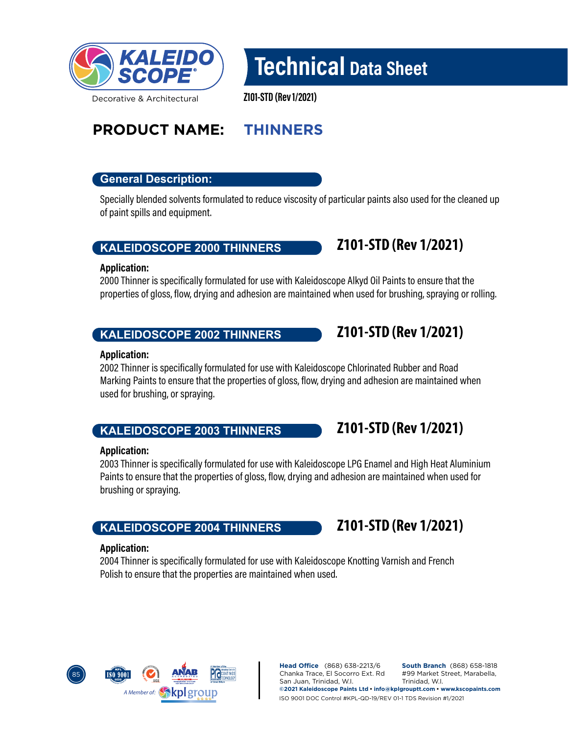

# Technical Data Sheet

Z101-STD (Rev 1/2021)

# **PRODUCT NAME: THINNERS**

# **General Description:**

Specially blended solvents formulated to reduce viscosity of particular paints also used for the cleaned up of paint spills and equipment.

# **KALEIDOSCOPE 2000 THINNERS**

#### Application:

2000 Thinner is specifically formulated for use with Kaleidoscope Alkyd Oil Paints to ensure that the properties of gloss, flow, drying and adhesion are maintained when used for brushing, spraying or rolling.

# **KALEIDOSCOPE 2002 THINNERS**

#### Application:

2002 Thinner is specifically formulated for use with Kaleidoscope Chlorinated Rubber and Road Marking Paints to ensure that the properties of gloss, flow, drying and adhesion are maintained when used for brushing, or spraying.

# **KALEIDOSCOPE 2003 THINNERS**

#### Application:

2003 Thinner is specifically formulated for use with Kaleidoscope LPG Enamel and High Heat Aluminium Paints to ensure that the properties of gloss, flow, drying and adhesion are maintained when used for brushing or spraying.

# **KALEIDOSCOPE 2004 THINNERS**

#### Application:

2004 Thinner is specifically formulated for use with Kaleidoscope Knotting Varnish and French Polish to ensure that the properties are maintained when used.



**Head Office** (868) 638-2213/6 Chanka Trace, El Socorro Ext. Rd San Juan, Trinidad, W.I. **South Branch** (868) 658-1818 #99 Market Street, Marabella, Trinidad, W.I. **©2021 Kaleidoscope Paints Ltd • info@kplgrouptt.com • www.kscopaints.com** ISO 9001 DOC Control #KPL-QD-19/REV 01-1 TDS Revision #1/2021



**Z101-STD (Rev 1/2021)**

**Z101-STD (Rev 1/2021)**

**Z101-STD (Rev 1/2021)**